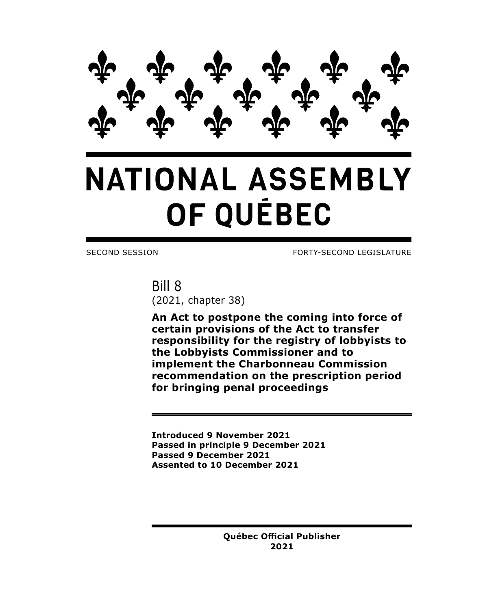

# **NATIONAL ASSEMBLY** OF QUÉBEC

SECOND SESSION FORTY-SECOND LEGISLATURE

Bill 8 (2021, chapter 38)

**An Act to postpone the coming into force of certain provisions of the Act to transfer responsibility for the registry of lobbyists to the Lobbyists Commissioner and to implement the Charbonneau Commission recommendation on the prescription period for bringing penal proceedings**

**Introduced 9 November 2021 Passed in principle 9 December 2021 Passed 9 December 2021 Assented to 10 December 2021**

> **Québec Official Publisher 2021**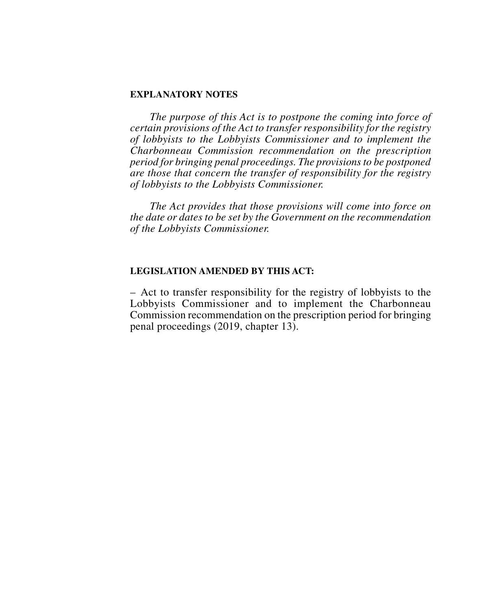## **EXPLANATORY NOTES**

*The purpose of this Act is to postpone the coming into force of certain provisions of the Act to transfer responsibility for the registry of lobbyists to the Lobbyists Commissioner and to implement the Charbonneau Commission recommendation on the prescription period for bringing penal proceedings. The provisions to be postponed are those that concern the transfer of responsibility for the registry of lobbyists to the Lobbyists Commissioner.*

*The Act provides that those provisions will come into force on the date or dates to be set by the Government on the recommendation of the Lobbyists Commissioner.*

### **LEGISLATION AMENDED BY THIS ACT:**

– Act to transfer responsibility for the registry of lobbyists to the Lobbyists Commissioner and to implement the Charbonneau Commission recommendation on the prescription period for bringing penal proceedings (2019, chapter 13).